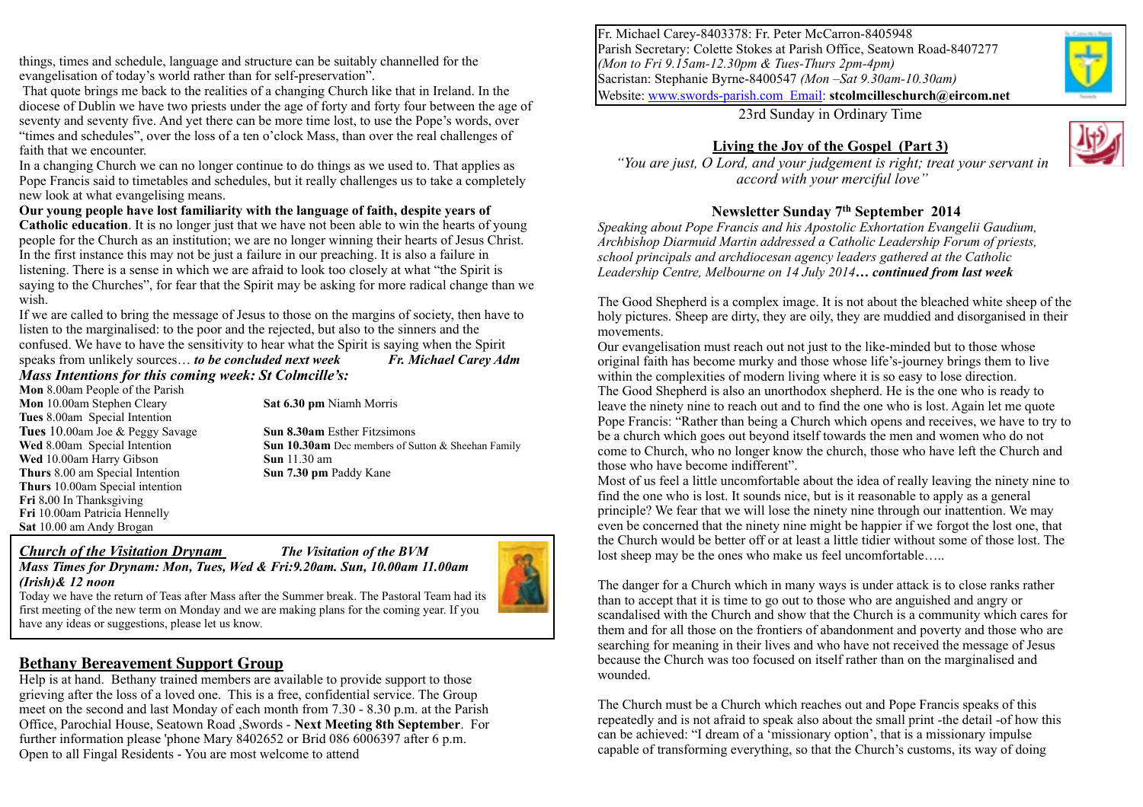things, times and schedule, language and structure can be suitably channelled for the evangelisation of today's world rather than for self-preservation".

 That quote brings me back to the realities of a changing Church like that in Ireland. In the diocese of Dublin we have two priests under the age of forty and forty four between the age of seventy and seventy five. And yet there can be more time lost, to use the Pope's words, over "times and schedules", over the loss of a ten o'clock Mass, than over the real challenges of faith that we encounter.

In a changing Church we can no longer continue to do things as we used to. That applies as Pope Francis said to timetables and schedules, but it really challenges us to take a completely new look at what evangelising means.

**Our young people have lost familiarity with the language of faith, despite years of Catholic education**. It is no longer just that we have not been able to win the hearts of young people for the Church as an institution; we are no longer winning their hearts of Jesus Christ. In the first instance this may not be just a failure in our preaching. It is also a failure in listening. There is a sense in which we are afraid to look too closely at what "the Spirit is saying to the Churches", for fear that the Spirit may be asking for more radical change than we wish.

If we are called to bring the message of Jesus to those on the margins of society, then have to listen to the marginalised: to the poor and the rejected, but also to the sinners and the confused. We have to have the sensitivity to hear what the Spirit is saying when the Spirit

speaks from unlikely sources… *to be concluded next week Fr. Michael Carey Adm Mass Intentions for this coming week: St Colmcille's:* 

**Mon** 8.00am People of the Parish **Mon** 10.00am Stephen Cleary **Sat 6.30 pm** Niamh Morris **Tues** 8.00am Special Intention **Tues** 10.00am Joe & Peggy Savage **Sun 8.30am** Esther Fitzsimons **Wed** 10.00am Harry Gibson **Sun 11.30 am**<br> **Sun 7.30 pm** Paddy Kane **Thurs 8.00 am Special Intention Thurs** 10.00am Special intention **Fri** 8**.**00 In Thanksgiving **Fri** 10.00am Patricia Hennelly **Sat** 10.00 am Andy Brogan

**Wed** 8.00am Special Intention **Sun 10.30am** Dec members of Sutton & Sheehan Family

#### *Church of the Visitation Drynam The Visitation of the BVM*



*(Irish)& 12 noon*  Today we have the return of Teas after Mass after the Summer break. The Pastoral Team had its first meeting of the new term on Monday and we are making plans for the coming year. If you have any ideas or suggestions, please let us know.

*Mass Times for Drynam: Mon, Tues, Wed & Fri:9.20am. Sun, 10.00am 11.00am* 

### **Bethany Bereavement Support Group**

Help is at hand. Bethany trained members are available to provide support to those grieving after the loss of a loved one. This is a free, confidential service. The Group meet on the second and last Monday of each month from 7.30 - 8.30 p.m. at the Parish Office, Parochial House, Seatown Road ,Swords - **Next Meeting 8th September**. For further information please 'phone Mary 8402652 or Brid 086 6006397 after 6 p.m. Open to all Fingal Residents - You are most welcome to attend

Fr. Michael Carey-8403378: Fr. Peter McCarron-8405948 Parish Secretary: Colette Stokes at Parish Office, Seatown Road-8407277 *(Mon to Fri 9.15am-12.30pm & Tues-Thurs 2pm-4pm)* Sacristan: Stephanie Byrne-8400547 *(Mon –Sat 9.30am-10.30am)* Website: [www.swords-parish.com Email:](http://www.swords-parish.com%20%20email) **stcolmcilleschurch@eircom.net**

23rd Sunday in Ordinary Time

## **Living the Joy of the Gospel (Part 3)**



### **Newsletter Sunday 7th September 2014**

*Speaking about Pope Francis and his Apostolic Exhortation Evangelii Gaudium, Archbishop Diarmuid Martin addressed a Catholic Leadership Forum of priests, school principals and archdiocesan agency leaders gathered at the Catholic Leadership Centre, Melbourne on 14 July 2014… continued from last week*

The Good Shepherd is a complex image. It is not about the bleached white sheep of the holy pictures. Sheep are dirty, they are oily, they are muddied and disorganised in their movements.

Our evangelisation must reach out not just to the like-minded but to those whose original faith has become murky and those whose life's-journey brings them to live within the complexities of modern living where it is so easy to lose direction. The Good Shepherd is also an unorthodox shepherd. He is the one who is ready to leave the ninety nine to reach out and to find the one who is lost. Again let me quote Pope Francis: "Rather than being a Church which opens and receives, we have to try to be a church which goes out beyond itself towards the men and women who do not come to Church, who no longer know the church, those who have left the Church and those who have become indifferent".

Most of us feel a little uncomfortable about the idea of really leaving the ninety nine to find the one who is lost. It sounds nice, but is it reasonable to apply as a general principle? We fear that we will lose the ninety nine through our inattention. We may even be concerned that the ninety nine might be happier if we forgot the lost one, that the Church would be better off or at least a little tidier without some of those lost. The lost sheep may be the ones who make us feel uncomfortable…..

The danger for a Church which in many ways is under attack is to close ranks rather than to accept that it is time to go out to those who are anguished and angry or scandalised with the Church and show that the Church is a community which cares for them and for all those on the frontiers of abandonment and poverty and those who are searching for meaning in their lives and who have not received the message of Jesus because the Church was too focused on itself rather than on the marginalised and wounded.

The Church must be a Church which reaches out and Pope Francis speaks of this repeatedly and is not afraid to speak also about the small print -the detail -of how this can be achieved: "I dream of a 'missionary option', that is a missionary impulse capable of transforming everything, so that the Church's customs, its way of doing